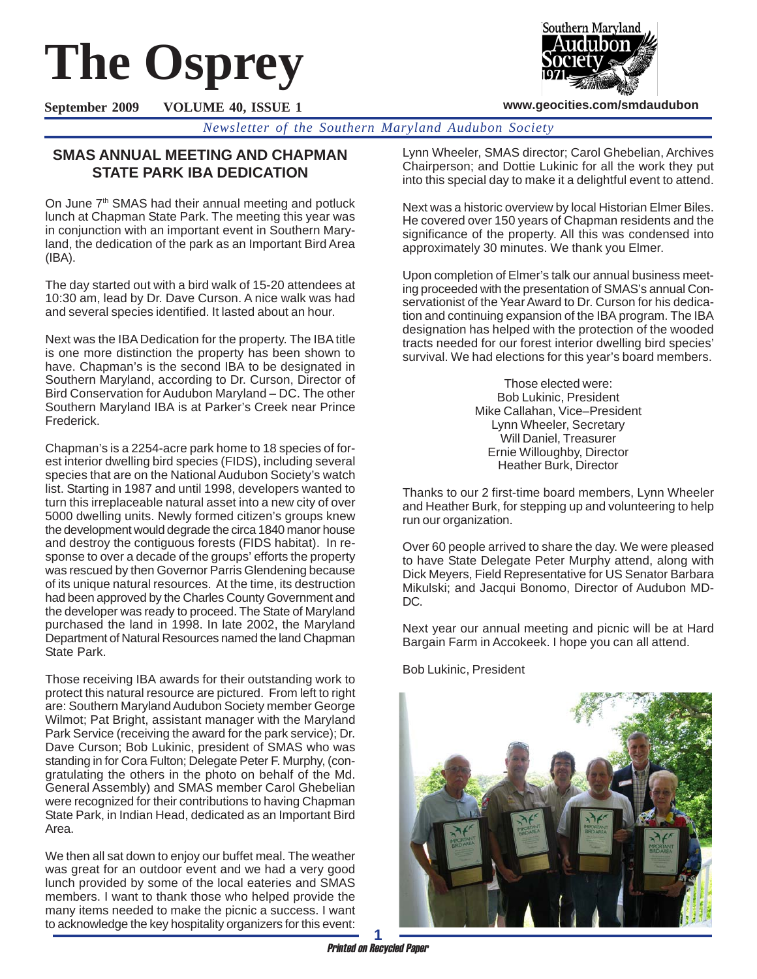# **The Osprey**



**www.geocities.com/smdaudubon**

**September 2009 VOLUME 40, ISSUE 1**

*Newsletter of the Southern Maryland Audubon Society*

# **SMAS ANNUAL MEETING AND CHAPMAN STATE PARK IBA DEDICATION**

On June 7<sup>th</sup> SMAS had their annual meeting and potluck lunch at Chapman State Park. The meeting this year was in conjunction with an important event in Southern Maryland, the dedication of the park as an Important Bird Area (IBA).

The day started out with a bird walk of 15-20 attendees at 10:30 am, lead by Dr. Dave Curson. A nice walk was had and several species identified. It lasted about an hour.

Next was the IBA Dedication for the property. The IBA title is one more distinction the property has been shown to have. Chapman's is the second IBA to be designated in Southern Maryland, according to Dr. Curson, Director of Bird Conservation for Audubon Maryland – DC. The other Southern Maryland IBA is at Parker's Creek near Prince Frederick.

Chapman's is a 2254-acre park home to 18 species of forest interior dwelling bird species (FIDS), including several species that are on the National Audubon Society's watch list. Starting in 1987 and until 1998, developers wanted to turn this irreplaceable natural asset into a new city of over 5000 dwelling units. Newly formed citizen's groups knew the development would degrade the circa 1840 manor house and destroy the contiguous forests (FIDS habitat). In response to over a decade of the groups' efforts the property was rescued by then Governor Parris Glendening because of its unique natural resources. At the time, its destruction had been approved by the Charles County Government and the developer was ready to proceed. The State of Maryland purchased the land in 1998. In late 2002, the Maryland Department of Natural Resources named the land Chapman State Park.

Those receiving IBA awards for their outstanding work to protect this natural resource are pictured. From left to right are: Southern Maryland Audubon Society member George Wilmot; Pat Bright, assistant manager with the Maryland Park Service (receiving the award for the park service); Dr. Dave Curson; Bob Lukinic, president of SMAS who was standing in for Cora Fulton; Delegate Peter F. Murphy, (congratulating the others in the photo on behalf of the Md. General Assembly) and SMAS member Carol Ghebelian were recognized for their contributions to having Chapman State Park, in Indian Head, dedicated as an Important Bird Area.

We then all sat down to enjoy our buffet meal. The weather was great for an outdoor event and we had a very good lunch provided by some of the local eateries and SMAS members. I want to thank those who helped provide the many items needed to make the picnic a success. I want to acknowledge the key hospitality organizers for this event:

Lynn Wheeler, SMAS director; Carol Ghebelian, Archives Chairperson; and Dottie Lukinic for all the work they put into this special day to make it a delightful event to attend.

Next was a historic overview by local Historian Elmer Biles. He covered over 150 years of Chapman residents and the significance of the property. All this was condensed into approximately 30 minutes. We thank you Elmer.

Upon completion of Elmer's talk our annual business meeting proceeded with the presentation of SMAS's annual Conservationist of the Year Award to Dr. Curson for his dedication and continuing expansion of the IBA program. The IBA designation has helped with the protection of the wooded tracts needed for our forest interior dwelling bird species' survival. We had elections for this year's board members.

> Those elected were: Bob Lukinic, President Mike Callahan, Vice–President Lynn Wheeler, Secretary Will Daniel, Treasurer Ernie Willoughby, Director Heather Burk, Director

Thanks to our 2 first-time board members, Lynn Wheeler and Heather Burk, for stepping up and volunteering to help run our organization.

Over 60 people arrived to share the day. We were pleased to have State Delegate Peter Murphy attend, along with Dick Meyers, Field Representative for US Senator Barbara Mikulski; and Jacqui Bonomo, Director of Audubon MD-DC.

Next year our annual meeting and picnic will be at Hard Bargain Farm in Accokeek. I hope you can all attend.

Bob Lukinic, President

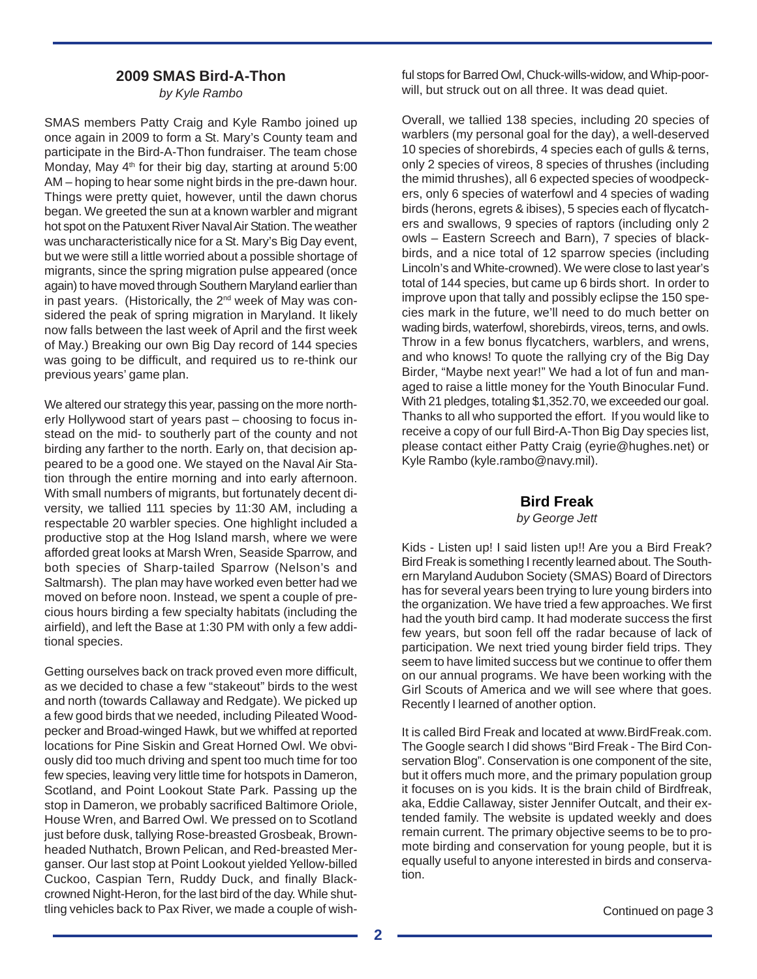### **2009 SMAS Bird-A-Thon**

*by Kyle Rambo*

SMAS members Patty Craig and Kyle Rambo joined up once again in 2009 to form a St. Mary's County team and participate in the Bird-A-Thon fundraiser. The team chose Monday, May 4<sup>th</sup> for their big day, starting at around 5:00 AM – hoping to hear some night birds in the pre-dawn hour. Things were pretty quiet, however, until the dawn chorus began. We greeted the sun at a known warbler and migrant hot spot on the Patuxent River Naval Air Station. The weather was uncharacteristically nice for a St. Mary's Big Day event, but we were still a little worried about a possible shortage of migrants, since the spring migration pulse appeared (once again) to have moved through Southern Maryland earlier than in past years. (Historically, the  $2<sup>nd</sup>$  week of May was considered the peak of spring migration in Maryland. It likely now falls between the last week of April and the first week of May.) Breaking our own Big Day record of 144 species was going to be difficult, and required us to re-think our previous years' game plan.

We altered our strategy this year, passing on the more northerly Hollywood start of years past – choosing to focus instead on the mid- to southerly part of the county and not birding any farther to the north. Early on, that decision appeared to be a good one. We stayed on the Naval Air Station through the entire morning and into early afternoon. With small numbers of migrants, but fortunately decent diversity, we tallied 111 species by 11:30 AM, including a respectable 20 warbler species. One highlight included a productive stop at the Hog Island marsh, where we were afforded great looks at Marsh Wren, Seaside Sparrow, and both species of Sharp-tailed Sparrow (Nelson's and Saltmarsh). The plan may have worked even better had we moved on before noon. Instead, we spent a couple of precious hours birding a few specialty habitats (including the airfield), and left the Base at 1:30 PM with only a few additional species.

Getting ourselves back on track proved even more difficult, as we decided to chase a few "stakeout" birds to the west and north (towards Callaway and Redgate). We picked up a few good birds that we needed, including Pileated Woodpecker and Broad-winged Hawk, but we whiffed at reported locations for Pine Siskin and Great Horned Owl. We obviously did too much driving and spent too much time for too few species, leaving very little time for hotspots in Dameron, Scotland, and Point Lookout State Park. Passing up the stop in Dameron, we probably sacrificed Baltimore Oriole, House Wren, and Barred Owl. We pressed on to Scotland just before dusk, tallying Rose-breasted Grosbeak, Brownheaded Nuthatch, Brown Pelican, and Red-breasted Merganser. Our last stop at Point Lookout yielded Yellow-billed Cuckoo, Caspian Tern, Ruddy Duck, and finally Blackcrowned Night-Heron, for the last bird of the day. While shuttling vehicles back to Pax River, we made a couple of wishful stops for Barred Owl, Chuck-wills-widow, and Whip-poorwill, but struck out on all three. It was dead quiet.

Overall, we tallied 138 species, including 20 species of warblers (my personal goal for the day), a well-deserved 10 species of shorebirds, 4 species each of gulls & terns, only 2 species of vireos, 8 species of thrushes (including the mimid thrushes), all 6 expected species of woodpeckers, only 6 species of waterfowl and 4 species of wading birds (herons, egrets & ibises), 5 species each of flycatchers and swallows, 9 species of raptors (including only 2 owls – Eastern Screech and Barn), 7 species of blackbirds, and a nice total of 12 sparrow species (including Lincoln's and White-crowned). We were close to last year's total of 144 species, but came up 6 birds short. In order to improve upon that tally and possibly eclipse the 150 species mark in the future, we'll need to do much better on wading birds, waterfowl, shorebirds, vireos, terns, and owls. Throw in a few bonus flycatchers, warblers, and wrens, and who knows! To quote the rallying cry of the Big Day Birder, "Maybe next year!" We had a lot of fun and managed to raise a little money for the Youth Binocular Fund. With 21 pledges, totaling \$1,352.70, we exceeded our goal. Thanks to all who supported the effort. If you would like to receive a copy of our full Bird-A-Thon Big Day species list, please contact either Patty Craig (eyrie@hughes.net) or Kyle Rambo (kyle.rambo@navy.mil).

#### **Bird Freak**

*by George Jett*

Kids - Listen up! I said listen up!! Are you a Bird Freak? Bird Freak is something I recently learned about. The Southern Maryland Audubon Society (SMAS) Board of Directors has for several years been trying to lure young birders into the organization. We have tried a few approaches. We first had the youth bird camp. It had moderate success the first few years, but soon fell off the radar because of lack of participation. We next tried young birder field trips. They seem to have limited success but we continue to offer them on our annual programs. We have been working with the Girl Scouts of America and we will see where that goes. Recently I learned of another option.

It is called Bird Freak and located at www.BirdFreak.com. The Google search I did shows "Bird Freak - The Bird Conservation Blog". Conservation is one component of the site, but it offers much more, and the primary population group it focuses on is you kids. It is the brain child of Birdfreak, aka, Eddie Callaway, sister Jennifer Outcalt, and their extended family. The website is updated weekly and does remain current. The primary objective seems to be to promote birding and conservation for young people, but it is equally useful to anyone interested in birds and conservation.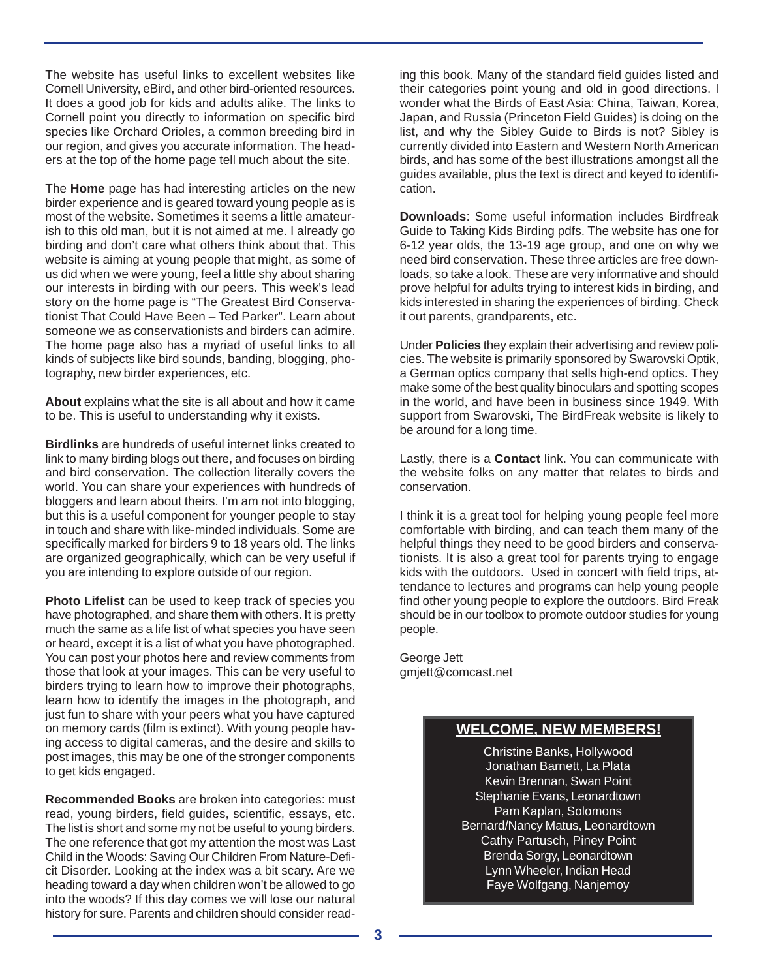The website has useful links to excellent websites like Cornell University, eBird, and other bird-oriented resources. It does a good job for kids and adults alike. The links to Cornell point you directly to information on specific bird species like Orchard Orioles, a common breeding bird in our region, and gives you accurate information. The headers at the top of the home page tell much about the site.

The **Home** page has had interesting articles on the new birder experience and is geared toward young people as is most of the website. Sometimes it seems a little amateurish to this old man, but it is not aimed at me. I already go birding and don't care what others think about that. This website is aiming at young people that might, as some of us did when we were young, feel a little shy about sharing our interests in birding with our peers. This week's lead story on the home page is "The Greatest Bird Conservationist That Could Have Been – Ted Parker". Learn about someone we as conservationists and birders can admire. The home page also has a myriad of useful links to all kinds of subjects like bird sounds, banding, blogging, photography, new birder experiences, etc.

**About** explains what the site is all about and how it came to be. This is useful to understanding why it exists.

**Birdlinks** are hundreds of useful internet links created to link to many birding blogs out there, and focuses on birding and bird conservation. The collection literally covers the world. You can share your experiences with hundreds of bloggers and learn about theirs. I'm am not into blogging, but this is a useful component for younger people to stay in touch and share with like-minded individuals. Some are specifically marked for birders 9 to 18 years old. The links are organized geographically, which can be very useful if you are intending to explore outside of our region.

**Photo Lifelist** can be used to keep track of species you have photographed, and share them with others. It is pretty much the same as a life list of what species you have seen or heard, except it is a list of what you have photographed. You can post your photos here and review comments from those that look at your images. This can be very useful to birders trying to learn how to improve their photographs, learn how to identify the images in the photograph, and just fun to share with your peers what you have captured on memory cards (film is extinct). With young people having access to digital cameras, and the desire and skills to post images, this may be one of the stronger components to get kids engaged.

**Recommended Books** are broken into categories: must read, young birders, field guides, scientific, essays, etc. The list is short and some my not be useful to young birders. The one reference that got my attention the most was Last Child in the Woods: Saving Our Children From Nature-Deficit Disorder. Looking at the index was a bit scary. Are we heading toward a day when children won't be allowed to go into the woods? If this day comes we will lose our natural history for sure. Parents and children should consider read-

ing this book. Many of the standard field guides listed and their categories point young and old in good directions. I wonder what the Birds of East Asia: China, Taiwan, Korea, Japan, and Russia (Princeton Field Guides) is doing on the list, and why the Sibley Guide to Birds is not? Sibley is currently divided into Eastern and Western North American birds, and has some of the best illustrations amongst all the guides available, plus the text is direct and keyed to identification.

**Downloads**: Some useful information includes Birdfreak Guide to Taking Kids Birding pdfs. The website has one for 6-12 year olds, the 13-19 age group, and one on why we need bird conservation. These three articles are free downloads, so take a look. These are very informative and should prove helpful for adults trying to interest kids in birding, and kids interested in sharing the experiences of birding. Check it out parents, grandparents, etc.

Under **Policies** they explain their advertising and review policies. The website is primarily sponsored by Swarovski Optik, a German optics company that sells high-end optics. They make some of the best quality binoculars and spotting scopes in the world, and have been in business since 1949. With support from Swarovski, The BirdFreak website is likely to be around for a long time.

Lastly, there is a **Contact** link. You can communicate with the website folks on any matter that relates to birds and conservation.

I think it is a great tool for helping young people feel more comfortable with birding, and can teach them many of the helpful things they need to be good birders and conservationists. It is also a great tool for parents trying to engage kids with the outdoors. Used in concert with field trips, attendance to lectures and programs can help young people find other young people to explore the outdoors. Bird Freak should be in our toolbox to promote outdoor studies for young people.

George Jett gmjett@comcast.net

# **WELCOME, NEW MEMBERS!**

Christine Banks, Hollywood Jonathan Barnett, La Plata Kevin Brennan, Swan Point Stephanie Evans, Leonardtown Pam Kaplan, Solomons Bernard/Nancy Matus, Leonardtown Cathy Partusch, Piney Point Brenda Sorgy, Leonardtown Lynn Wheeler, Indian Head Faye Wolfgang, Nanjemoy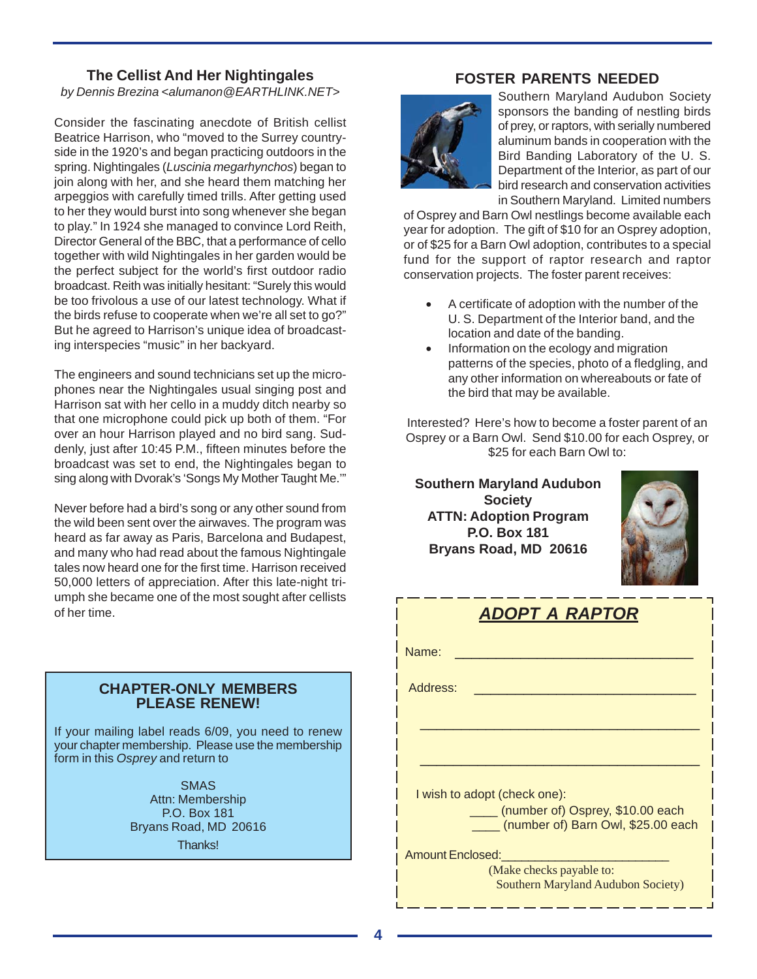### **The Cellist And Her Nightingales**

*by Dennis Brezina <alumanon@EARTHLINK.NET>*

Consider the fascinating anecdote of British cellist Beatrice Harrison, who "moved to the Surrey countryside in the 1920's and began practicing outdoors in the spring. Nightingales (*Luscinia megarhynchos*) began to join along with her, and she heard them matching her arpeggios with carefully timed trills. After getting used to her they would burst into song whenever she began to play." In 1924 she managed to convince Lord Reith, Director General of the BBC, that a performance of cello together with wild Nightingales in her garden would be the perfect subject for the world's first outdoor radio broadcast. Reith was initially hesitant: "Surely this would be too frivolous a use of our latest technology. What if the birds refuse to cooperate when we're all set to go?" But he agreed to Harrison's unique idea of broadcasting interspecies "music" in her backyard.

The engineers and sound technicians set up the microphones near the Nightingales usual singing post and Harrison sat with her cello in a muddy ditch nearby so that one microphone could pick up both of them. "For over an hour Harrison played and no bird sang. Suddenly, just after 10:45 P.M., fifteen minutes before the broadcast was set to end, the Nightingales began to sing along with Dvorak's 'Songs My Mother Taught Me.'"

Never before had a bird's song or any other sound from the wild been sent over the airwaves. The program was heard as far away as Paris, Barcelona and Budapest, and many who had read about the famous Nightingale tales now heard one for the first time. Harrison received 50,000 letters of appreciation. After this late-night triumph she became one of the most sought after cellists of her time.

#### **CHAPTER-ONLY MEMBERS PLEASE RENEW!**

If your mailing label reads 6/09, you need to renew your chapter membership. Please use the membership form in this *Osprey* and return to

> SMAS Attn: Membership P.O. Box 181 Bryans Road, MD 20616 Thanks!

**FOSTER PARENTS NEEDED**



Southern Maryland Audubon Society sponsors the banding of nestling birds of prey, or raptors, with serially numbered aluminum bands in cooperation with the Bird Banding Laboratory of the U. S. Department of the Interior, as part of our bird research and conservation activities in Southern Maryland. Limited numbers

of Osprey and Barn Owl nestlings become available each year for adoption. The gift of \$10 for an Osprey adoption, or of \$25 for a Barn Owl adoption, contributes to a special fund for the support of raptor research and raptor conservation projects. The foster parent receives:

- A certificate of adoption with the number of the U. S. Department of the Interior band, and the location and date of the banding.
- Information on the ecology and migration patterns of the species, photo of a fledgling, and any other information on whereabouts or fate of the bird that may be available.

Interested? Here's how to become a foster parent of an Osprey or a Barn Owl. Send \$10.00 for each Osprey, or \$25 for each Barn Owl to:

**Southern Maryland Audubon Society ATTN: Adoption Program P.O. Box 181 Bryans Road, MD 20616**



| DOPT A RAPTOR                                                               |  |  |  |  |  |
|-----------------------------------------------------------------------------|--|--|--|--|--|
| Name:                                                                       |  |  |  |  |  |
| Address:                                                                    |  |  |  |  |  |
|                                                                             |  |  |  |  |  |
|                                                                             |  |  |  |  |  |
| I wish to adopt (check one):                                                |  |  |  |  |  |
| ____ (number of) Osprey, \$10.00 each<br>(number of) Barn Owl, \$25.00 each |  |  |  |  |  |
| <b>Amount Enclosed:</b>                                                     |  |  |  |  |  |
| (Make checks payable to:<br>Southern Maryland Audubon Society)              |  |  |  |  |  |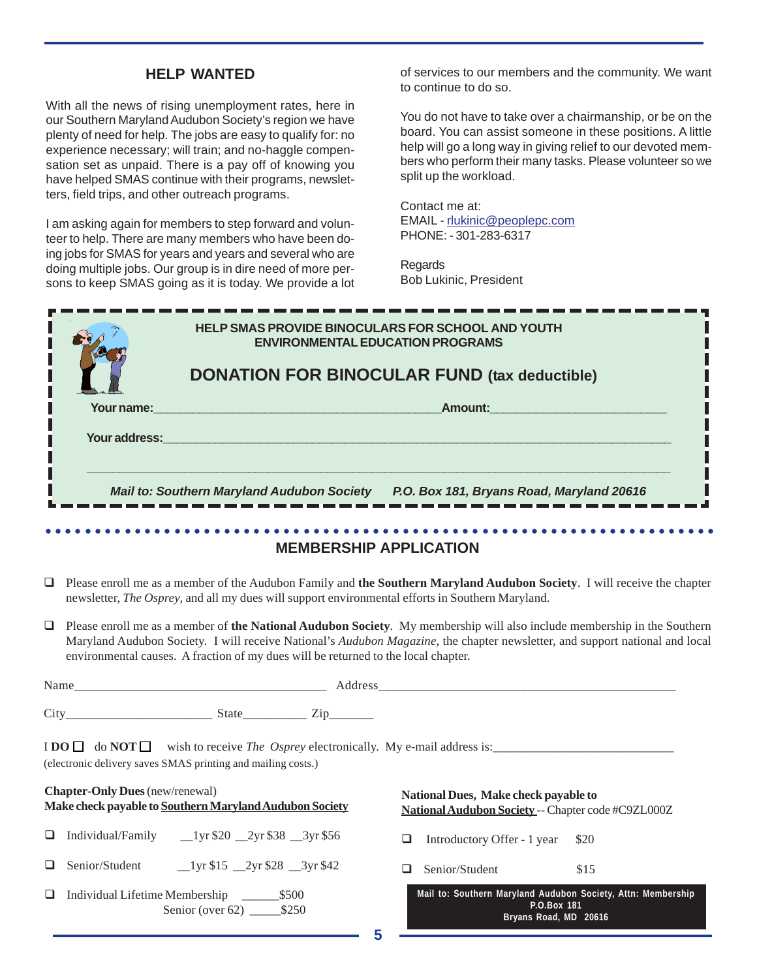#### **HELP WANTED**

With all the news of rising unemployment rates, here in our Southern Maryland Audubon Society's region we have plenty of need for help. The jobs are easy to qualify for: no experience necessary; will train; and no-haggle compensation set as unpaid. There is a pay off of knowing you have helped SMAS continue with their programs, newsletters, field trips, and other outreach programs.

I am asking again for members to step forward and volunteer to help. There are many members who have been doing jobs for SMAS for years and years and several who are doing multiple jobs. Our group is in dire need of more persons to keep SMAS going as it is today. We provide a lot

of services to our members and the community. We want to continue to do so.

You do not have to take over a chairmanship, or be on the board. You can assist someone in these positions. A little help will go a long way in giving relief to our devoted members who perform their many tasks. Please volunteer so we split up the workload.

Contact me at: EMAIL - rlukinic@peoplepc.com PHONE: - 301-283-6317

Regards Bob Lukinic, President

| <b>HELP SMAS PROVIDE BINOCULARS FOR SCHOOL AND YOUTH</b><br><b>ENVIRONMENTAL EDUCATION PROGRAMS</b> |                                                                                                |  |  |  |
|-----------------------------------------------------------------------------------------------------|------------------------------------------------------------------------------------------------|--|--|--|
| <b>DONATION FOR BINOCULAR FUND (tax deductible)</b>                                                 |                                                                                                |  |  |  |
| Your name:                                                                                          | Amount:                                                                                        |  |  |  |
| Your address:                                                                                       |                                                                                                |  |  |  |
|                                                                                                     | <b>Mail to: Southern Maryland Audubon Society</b><br>P.O. Box 181, Bryans Road, Maryland 20616 |  |  |  |

#### **MEMBERSHIP APPLICATION**

- Please enroll me as a member of the Audubon Family and **the Southern Maryland Audubon Society**. I will receive the chapter newsletter, *The Osprey*, and all my dues will support environmental efforts in Southern Maryland.
- Please enroll me as a member of **the National Audubon Society**. My membership will also include membership in the Southern Maryland Audubon Society. I will receive National's *Audubon Magazine*, the chapter newsletter, and support national and local environmental causes. A fraction of my dues will be returned to the local chapter.

| Cit |  |
|-----|--|

 $\text{I} \text{DO} \square \text{ do } \text{NOT} \square \text{ wish to receive } \text{The } \text{O}sprey \text{ electronically. My e-mail address is: \square.}$ (electronic delivery saves SMAS printing and mailing costs.)

|   | <b>Chapter-Only Dues</b> (new/renewal)<br>Make check payable to Southern Maryland Audubon Society | National Dues, Make check payable to<br>National Audubon Society -- Chapter code #C9ZL000Z           |  |
|---|---------------------------------------------------------------------------------------------------|------------------------------------------------------------------------------------------------------|--|
| ∟ | Individual/Family<br>$1 \text{yr} $20$ $2 \text{yr} $38$ $3 \text{yr} $56$                        | Introductory Offer - 1 year \$20<br>ப                                                                |  |
|   | Senior/Student<br>$1 \text{yr } $15 \quad 2 \text{yr } $28 \quad 3 \text{yr } $42$                | Senior/Student<br>\$15                                                                               |  |
| □ | Individual Lifetime Membership<br>\$500<br>Senior (over 62) $$250$                                | Mail to: Southern Maryland Audubon Society, Attn: Membership<br>P.O.Box 181<br>Bryans Road, MD 20616 |  |